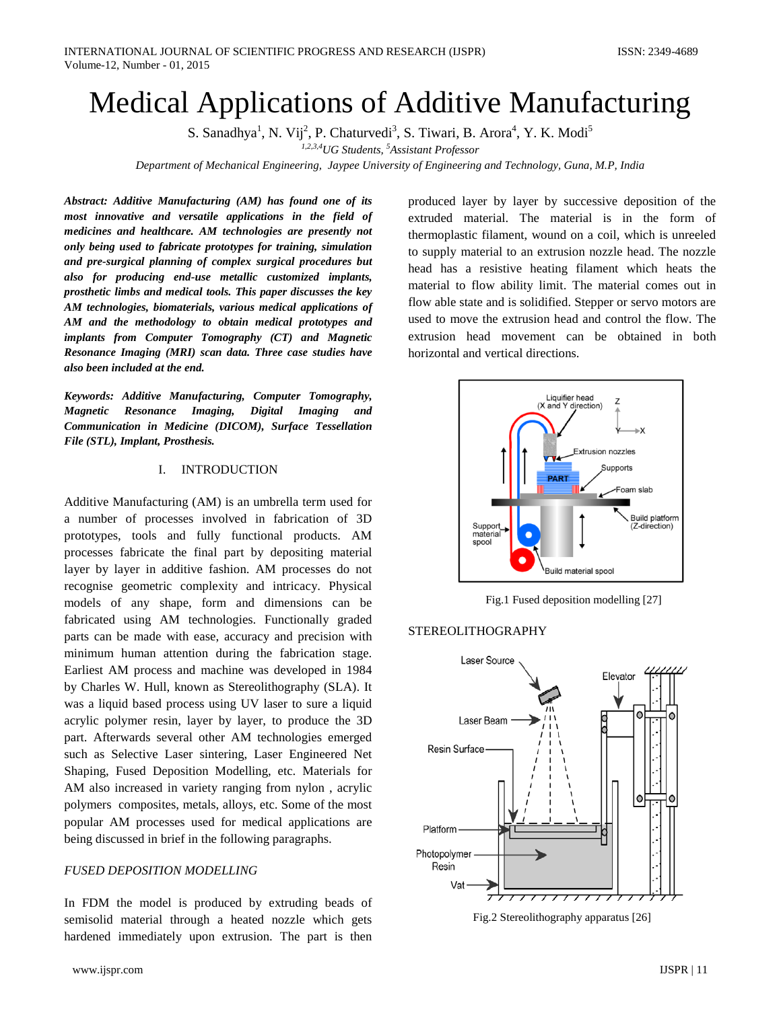# Medical Applications of Additive Manufacturing

S. Sanadhya<sup>1</sup>, N. Vij<sup>2</sup>, P. Chaturvedi<sup>3</sup>, S. Tiwari, B. Arora<sup>4</sup>, Y. K. Modi<sup>5</sup>

*1,2,3,4UG Students, <sup>5</sup> Assistant Professor*

*Department of Mechanical Engineering, Jaypee University of Engineering and Technology, Guna, M.P, India*

*Abstract: Additive Manufacturing (AM) has found one of its most innovative and versatile applications in the field of medicines and healthcare. AM technologies are presently not only being used to fabricate prototypes for training, simulation and pre-surgical planning of complex surgical procedures but also for producing end-use metallic customized implants, prosthetic limbs and medical tools. This paper discusses the key AM technologies, biomaterials, various medical applications of AM and the methodology to obtain medical prototypes and implants from Computer Tomography (CT) and Magnetic Resonance Imaging (MRI) scan data. Three case studies have also been included at the end.* 

*Keywords: Additive Manufacturing, Computer Tomography, Magnetic Resonance Imaging, Digital Imaging and Communication in Medicine (DICOM), Surface Tessellation File (STL), Implant, Prosthesis.*

### I. INTRODUCTION

Additive Manufacturing (AM) is an umbrella term used for a number of processes involved in fabrication of 3D prototypes, tools and fully functional products. AM processes fabricate the final part by depositing material layer by layer in additive fashion. AM processes do not recognise geometric complexity and intricacy. Physical models of any shape, form and dimensions can be fabricated using AM technologies. Functionally graded parts can be made with ease, accuracy and precision with minimum human attention during the fabrication stage. Earliest AM process and machine was developed in 1984 by Charles W. Hull, known as Stereolithography (SLA). It was a liquid based process using UV laser to sure a liquid acrylic polymer resin, layer by layer, to produce the 3D part. Afterwards several other AM technologies emerged such as Selective Laser sintering, Laser Engineered Net Shaping, Fused Deposition Modelling, etc. Materials for AM also increased in variety ranging from nylon , acrylic polymers composites, metals, alloys, etc. Some of the most popular AM processes used for medical applications are being discussed in brief in the following paragraphs.

#### *FUSED DEPOSITION MODELLING*

In FDM the model is produced by extruding beads of semisolid material through a heated nozzle which gets hardened immediately upon extrusion. The part is then

produced layer by layer by successive deposition of the extruded material. The material is in the form of thermoplastic filament, wound on a coil, which is unreeled to supply material to an extrusion nozzle head. The nozzle head has a resistive heating filament which heats the material to flow ability limit. The material comes out in flow able state and is solidified. Stepper or servo motors are used to move the extrusion head and control the flow. The extrusion head movement can be obtained in both horizontal and vertical directions.



Fig.1 Fused deposition modelling [27]

### STEREOLITHOGRAPHY



Fig.2 Stereolithography apparatus [26]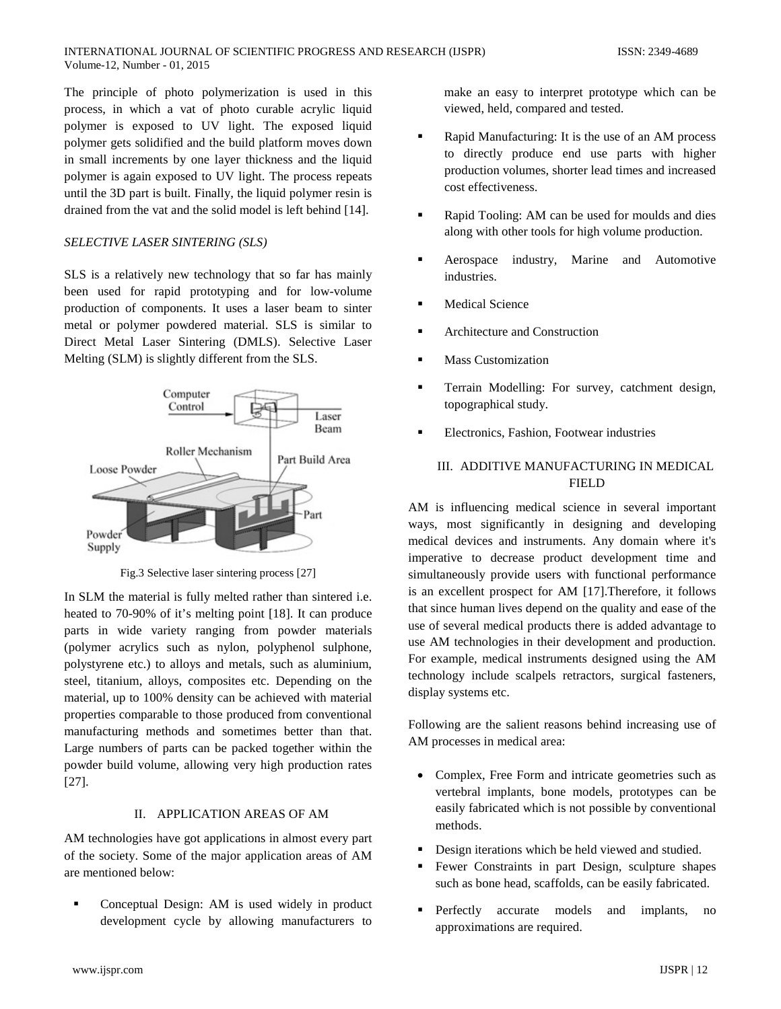The principle of photo polymerization is used in this process, in which a vat of photo curable acrylic liquid polymer is exposed to UV light. The exposed liquid polymer gets solidified and the build platform moves down in small increments by one layer thickness and the liquid polymer is again exposed to UV light. The process repeats until the 3D part is built. Finally, the liquid polymer resin is drained from the vat and the solid model is left behind [14].

#### *SELECTIVE LASER SINTERING (SLS)*

SLS is a relatively new technology that so far has mainly been used for rapid prototyping and for low-volume production of components. It uses a laser beam to sinter metal or polymer powdered material. SLS is similar to Direct Metal Laser Sintering (DMLS). Selective Laser Melting (SLM) is slightly different from the SLS.



Fig.3 Selective laser sintering process [27]

In SLM the material is fully melted rather than sintered i.e. heated to 70-90% of it's melting point [18]. It can produce parts in wide variety ranging from powder materials (polymer acrylics such as nylon, polyphenol sulphone, polystyrene etc.) to alloys and metals, such as aluminium, steel, titanium, alloys, composites etc. Depending on the material, up to 100% density can be achieved with material properties comparable to those produced from conventional manufacturing methods and sometimes better than that. Large numbers of parts can be packed together within the powder build volume, allowing very high production rates [27].

#### II. APPLICATION AREAS OF AM

AM technologies have got applications in almost every part of the society. Some of the major application areas of AM are mentioned below:

 Conceptual Design: AM is used widely in product development cycle by allowing manufacturers to

make an easy to interpret prototype which can be viewed, held, compared and tested.

- Rapid Manufacturing: It is the use of an AM process to directly produce end use parts with higher production volumes, shorter lead times and increased cost effectiveness.
- Rapid Tooling: AM can be used for moulds and dies along with other tools for high volume production.
- Aerospace industry, Marine and Automotive industries.
- Medical Science
- Architecture and Construction
- **Mass Customization**
- Terrain Modelling: For survey, catchment design, topographical study.
- Electronics, Fashion, Footwear industries

# III. ADDITIVE MANUFACTURING IN MEDICAL FIELD

AM is influencing medical science in several important ways, most significantly in designing and developing medical devices and instruments. Any domain where it's imperative to decrease product development time and simultaneously provide users with functional performance is an excellent prospect for AM [17].Therefore, it follows that since human lives depend on the quality and ease of the use of several medical products there is added advantage to use AM technologies in their development and production. For example, medical instruments designed using the AM technology include scalpels retractors, surgical fasteners, display systems etc.

Following are the salient reasons behind increasing use of AM processes in medical area:

- Complex, Free Form and intricate geometries such as vertebral implants, bone models, prototypes can be easily fabricated which is not possible by conventional methods.
- Design iterations which be held viewed and studied.
- Fewer Constraints in part Design, sculpture shapes such as bone head, scaffolds, can be easily fabricated.
- Perfectly accurate models and implants, no approximations are required.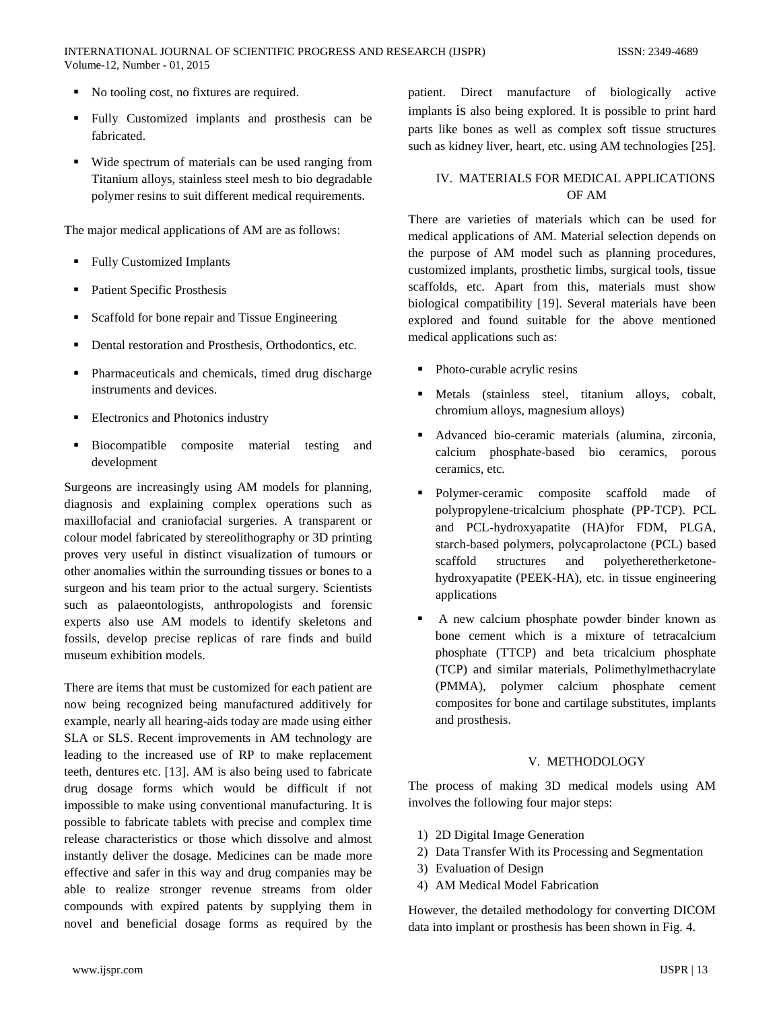- No tooling cost, no fixtures are required.
- Fully Customized implants and prosthesis can be fabricated.
- Wide spectrum of materials can be used ranging from Titanium alloys, stainless steel mesh to bio degradable polymer resins to suit different medical requirements.

The major medical applications of AM are as follows:

- **Fully Customized Implants**
- Patient Specific Prosthesis
- Scaffold for bone repair and Tissue Engineering
- Dental restoration and Prosthesis, Orthodontics, etc.
- Pharmaceuticals and chemicals, timed drug discharge instruments and devices.
- Electronics and Photonics industry
- Biocompatible composite material testing and development

Surgeons are increasingly using AM models for planning, diagnosis and explaining complex operations such as maxillofacial and craniofacial surgeries. A transparent or colour model fabricated by stereolithography or 3D printing proves very useful in distinct visualization of tumours or other anomalies within the surrounding tissues or bones to a surgeon and his team prior to the actual surgery. Scientists such as palaeontologists, anthropologists and forensic experts also use AM models to identify skeletons and fossils, develop precise replicas of rare finds and build museum exhibition models.

There are items that must be customized for each patient are now being recognized being manufactured additively for example, nearly all hearing-aids today are made using either SLA or SLS. Recent improvements in AM technology are leading to the increased use of RP to make replacement teeth, dentures etc. [13]. AM is also being used to fabricate drug dosage forms which would be difficult if not impossible to make using conventional manufacturing. It is possible to fabricate tablets with precise and complex time release characteristics or those which dissolve and almost instantly deliver the dosage. Medicines can be made more effective and safer in this way and drug companies may be able to realize stronger revenue streams from older compounds with expired patents by supplying them in novel and beneficial dosage forms as required by the

patient. Direct manufacture of biologically active implants is also being explored. It is possible to print hard parts like bones as well as complex soft tissue structures such as kidney liver, heart, etc. using AM technologies [25].

#### IV. MATERIALS FOR MEDICAL APPLICATIONS OF AM

There are varieties of materials which can be used for medical applications of AM. Material selection depends on the purpose of AM model such as planning procedures, customized implants, prosthetic limbs, surgical tools, tissue scaffolds, etc. Apart from this, materials must show biological compatibility [19]. Several materials have been explored and found suitable for the above mentioned medical applications such as:

- Photo-curable acrylic resins
- Metals (stainless steel, titanium alloys, cobalt, chromium alloys, magnesium alloys)
- Advanced bio-ceramic materials (alumina, zirconia, calcium phosphate-based bio ceramics, porous ceramics, etc.
- Polymer-ceramic composite scaffold made of polypropylene-tricalcium phosphate (PP-TCP). PCL and PCL-hydroxyapatite (HA)for FDM, PLGA, starch-based polymers, polycaprolactone (PCL) based scaffold structures and polyetheretherketonehydroxyapatite (PEEK-HA), etc. in tissue engineering applications
- A new calcium phosphate powder binder known as bone cement which is a mixture of tetracalcium phosphate (TTCP) and beta tricalcium phosphate (TCP) and similar materials, Polimethylmethacrylate (PMMA), polymer calcium phosphate cement composites for bone and cartilage substitutes, implants and prosthesis.

#### V. METHODOLOGY

The process of making 3D medical models using AM involves the following four major steps:

- 1) 2D Digital Image Generation
- 2) Data Transfer With its Processing and Segmentation
- 3) Evaluation of Design
- 4) AM Medical Model Fabrication

However, the detailed methodology for converting DICOM data into implant or prosthesis has been shown in Fig. 4.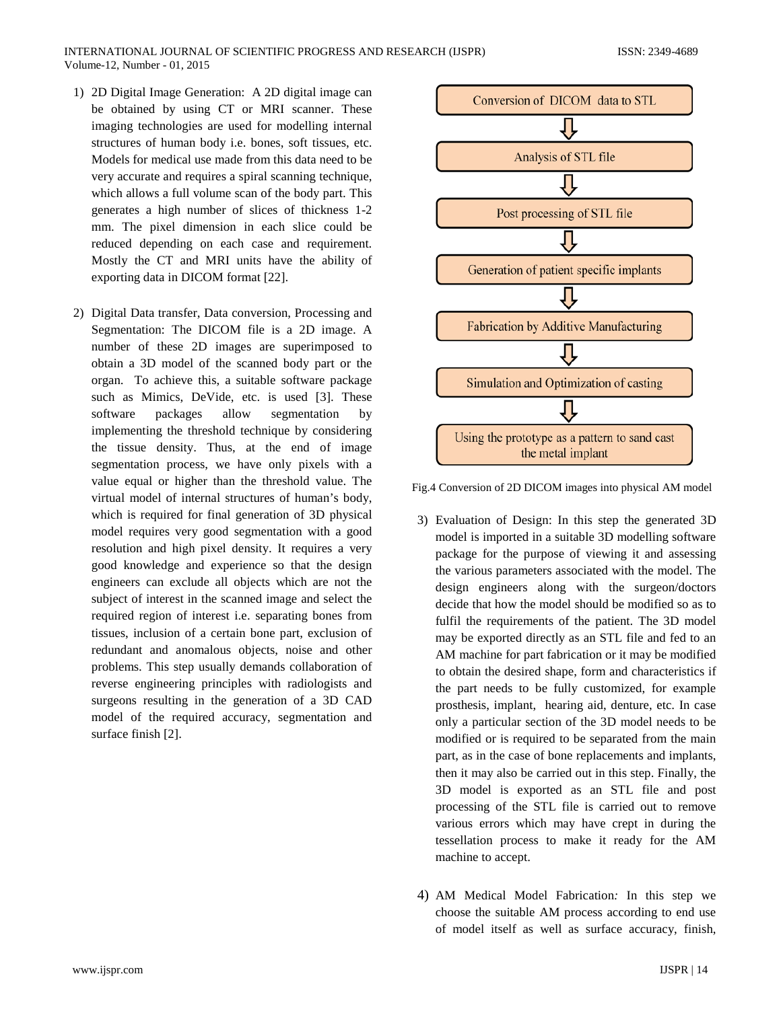- 1) 2D Digital Image Generation: A 2D digital image can be obtained by using CT or MRI scanner. These imaging technologies are used for modelling internal structures of human body i.e. bones, soft tissues, etc. Models for medical use made from this data need to be very accurate and requires a spiral scanning technique, which allows a full volume scan of the body part. This generates a high number of slices of thickness 1-2 mm. The pixel dimension in each slice could be reduced depending on each case and requirement. Mostly the CT and MRI units have the ability of exporting data in DICOM format [22].
- 2) Digital Data transfer, Data conversion, Processing and Segmentation: The DICOM file is a 2D image. A number of these 2D images are superimposed to obtain a 3D model of the scanned body part or the organ. To achieve this, a suitable software package such as Mimics, DeVide, etc. is used [3]. These software packages allow segmentation by implementing the threshold technique by considering the tissue density. Thus, at the end of image segmentation process, we have only pixels with a value equal or higher than the threshold value. The virtual model of internal structures of human's body, which is required for final generation of 3D physical model requires very good segmentation with a good resolution and high pixel density. It requires a very good knowledge and experience so that the design engineers can exclude all objects which are not the subject of interest in the scanned image and select the required region of interest i.e. separating bones from tissues, inclusion of a certain bone part, exclusion of redundant and anomalous objects, noise and other problems. This step usually demands collaboration of reverse engineering principles with radiologists and surgeons resulting in the generation of a 3D CAD model of the required accuracy, segmentation and surface finish [2].



Fig.4 Conversion of 2D DICOM images into physical AM model

- 3) Evaluation of Design: In this step the generated 3D model is imported in a suitable 3D modelling software package for the purpose of viewing it and assessing the various parameters associated with the model. The design engineers along with the surgeon/doctors decide that how the model should be modified so as to fulfil the requirements of the patient. The 3D model may be exported directly as an STL file and fed to an AM machine for part fabrication or it may be modified to obtain the desired shape, form and characteristics if the part needs to be fully customized, for example prosthesis, implant, hearing aid, denture, etc. In case only a particular section of the 3D model needs to be modified or is required to be separated from the main part, as in the case of bone replacements and implants, then it may also be carried out in this step. Finally, the 3D model is exported as an STL file and post processing of the STL file is carried out to remove various errors which may have crept in during the tessellation process to make it ready for the AM machine to accept.
- 4) AM Medical Model Fabrication*:* In this step we choose the suitable AM process according to end use of model itself as well as surface accuracy, finish,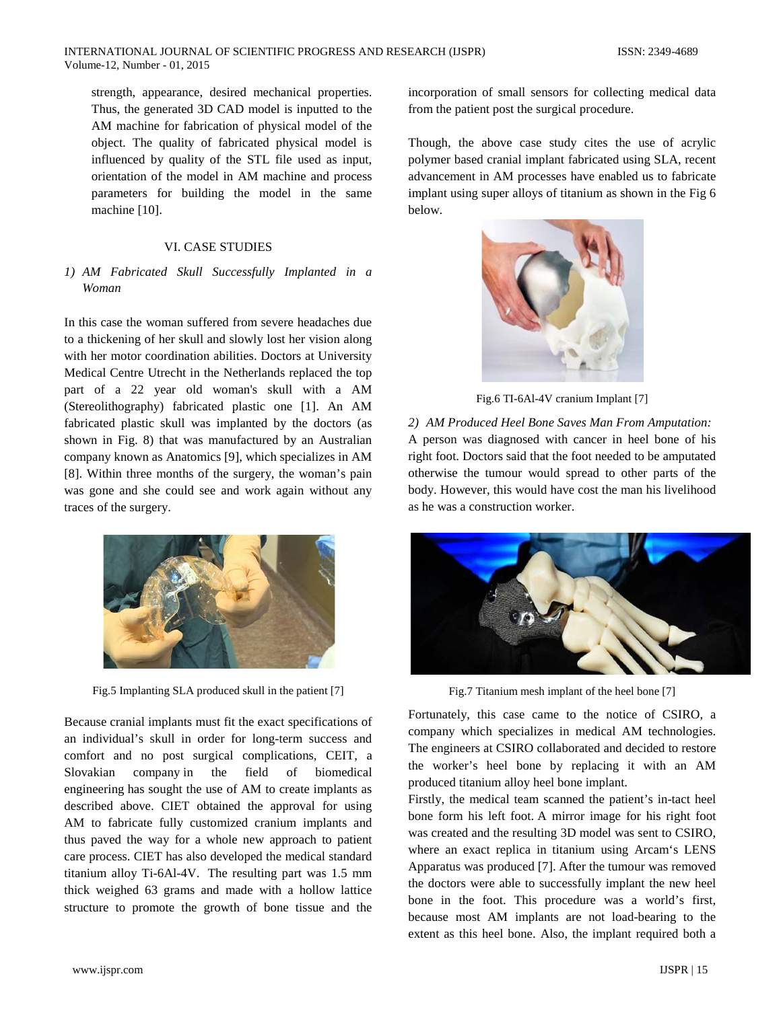strength, appearance, desired mechanical properties. Thus, the generated 3D CAD model is inputted to the AM machine for fabrication of physical model of the object. The quality of fabricated physical model is influenced by quality of the STL file used as input, orientation of the model in AM machine and process parameters for building the model in the same machine [10].

#### VI. CASE STUDIES

#### *1) AM Fabricated Skull Successfully Implanted in a Woman*

In this case the woman suffered from severe headaches due to a thickening of her skull and slowly lost her vision along with her motor coordination abilities. Doctors at University Medical Centre Utrecht in the Netherlands replaced the top part of a 22 year old woman's skull with a AM (Stereolithography) fabricated plastic one [1]. An AM fabricated plastic skull was implanted by the doctors (as shown in Fig. 8) that was manufactured by an Australian company known as Anatomics [9], which specializes in AM [8]. Within three months of the surgery, the woman's pain was gone and she could see and work again without any traces of the surgery.



Fig.5 Implanting SLA produced skull in the patient [7]

Because cranial implants must fit the exact specifications of an individual's skull in order for long-term success and comfort and no post surgical complications, CEIT, a Slovakian company in the field of biomedical engineering has sought the use of AM to create implants as described above. CIET obtained the approval for using AM to fabricate fully customized cranium implants and thus paved the way for a whole new approach to patient care process. CIET has also developed the medical standard titanium alloy Ti-6Al-4V. The resulting part was 1.5 mm thick weighed 63 grams and made with a hollow lattice structure to promote the growth of bone tissue and the

incorporation of small sensors for collecting medical data from the patient post the surgical procedure.

Though, the above case study cites the use of acrylic polymer based cranial implant fabricated using SLA, recent advancement in AM processes have enabled us to fabricate implant using super alloys of titanium as shown in the Fig 6 below.



Fig.6 TI-6Al-4V cranium Implant [7]

*2) AM Produced Heel Bone Saves Man From Amputation:* A person was diagnosed with cancer in heel bone of his right foot. Doctors said that the foot needed to be amputated otherwise the tumour would spread to other parts of the body. However, this would have cost the man his livelihood as he was a construction worker.



Fig.7 Titanium mesh implant of the heel bone [7]

Fortunately, this case came to the notice of CSIRO, a company which specializes in medical AM technologies. The engineers at CSIRO collaborated and decided to restore the worker's heel bone by replacing it with an AM produced titanium alloy heel bone implant.

Firstly, the medical team scanned the patient's in-tact heel bone form his left foot. A mirror image for his right foot was created and the resulting 3D model was sent to CSIRO, where an exact replica in titanium using Arcam's LENS Apparatus was produced [7]. After the tumour was removed the doctors were able to successfully implant the new heel bone in the foot. This procedure was a world's first, because most AM implants are not load-bearing to the extent as this heel bone. Also, the implant required both a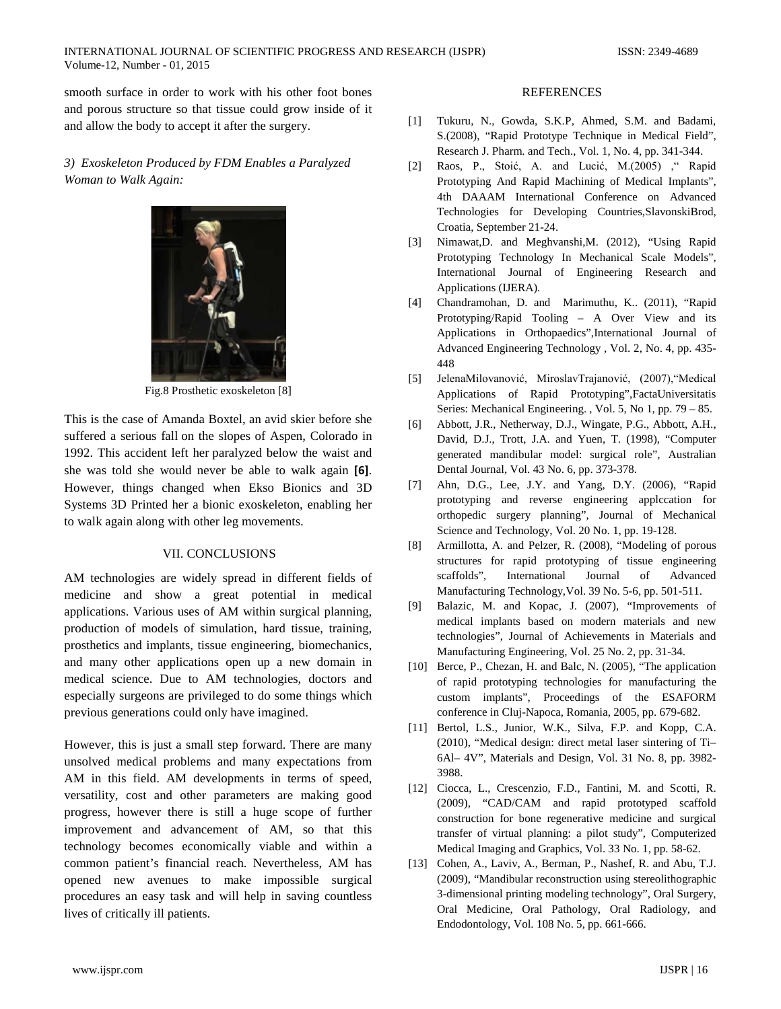smooth surface in order to work with his other foot bones and porous structure so that tissue could grow inside of it and allow the body to accept it after the surgery.

## *3) Exoskeleton Produced by FDM Enables a Paralyzed Woman to Walk Again:*



Fig.8 Prosthetic exoskeleton [8]

This is the case of Amanda Boxtel, an avid skier before she suffered a serious fall on the slopes of Aspen, Colorado in 1992. This accident left her paralyzed below the waist and she was told she would never be able to walk again **[6]**. However, things changed when Ekso Bionics and 3D Systems 3D Printed her a bionic exoskeleton, enabling her to walk again along with other leg movements.

### VII. CONCLUSIONS

AM technologies are widely spread in different fields of medicine and show a great potential in medical applications. Various uses of AM within surgical planning, production of models of simulation, hard tissue, training, prosthetics and implants, tissue engineering, biomechanics, and many other applications open up a new domain in medical science. Due to AM technologies, doctors and especially surgeons are privileged to do some things which previous generations could only have imagined.

However, this is just a small step forward. There are many unsolved medical problems and many expectations from AM in this field. AM developments in terms of speed, versatility, cost and other parameters are making good progress, however there is still a huge scope of further improvement and advancement of AM, so that this technology becomes economically viable and within a common patient's financial reach. Nevertheless, AM has opened new avenues to make impossible surgical procedures an easy task and will help in saving countless lives of critically ill patients.

#### REFERENCES

- [1] Tukuru, N., Gowda, S.K.P, Ahmed, S.M. and Badami, S.(2008), "Rapid Prototype Technique in Medical Field", Research J. Pharm. and Tech., Vol. 1, No. 4, pp. 341-344.
- [2] Raos, P., Stoić, A. and Lucić, M.(2005) ," Rapid Prototyping And Rapid Machining of Medical Implants", 4th DAAAM International Conference on Advanced Technologies for Developing Countries,SlavonskiBrod, Croatia, September 21-24.
- [3] Nimawat,D. and Meghvanshi,M. (2012), "Using Rapid Prototyping Technology In Mechanical Scale Models", International Journal of Engineering Research and Applications (IJERA).
- [4] Chandramohan, D. and Marimuthu, K.. (2011), "Rapid Prototyping/Rapid Tooling – A Over View and its Applications in Orthopaedics",International Journal of Advanced Engineering Technology , Vol. 2, No. 4, pp. 435- 448
- [5] JelenaMilovanović, MiroslavTrajanović, (2007),"Medical Applications of Rapid Prototyping",FactaUniversitatis Series: Mechanical Engineering. , Vol. 5, No 1, pp. 79 – 85.
- [6] Abbott, J.R., Netherway, D.J., Wingate, P.G., Abbott, A.H., David, D.J., Trott, J.A. and Yuen, T. (1998), "Computer generated mandibular model: surgical role", Australian Dental Journal, Vol. 43 No. 6, pp. 373-378.
- [7] Ahn, D.G., Lee, J.Y. and Yang, D.Y. (2006), "Rapid prototyping and reverse engineering applccation for orthopedic surgery planning", Journal of Mechanical Science and Technology, Vol. 20 No. 1, pp. 19-128.
- [8] Armillotta, A. and Pelzer, R. (2008), "Modeling of porous structures for rapid prototyping of tissue engineering scaffolds", International Journal of Advanced Manufacturing Technology,Vol. 39 No. 5-6, pp. 501-511.
- [9] Balazic, M. and Kopac, J. (2007), "Improvements of medical implants based on modern materials and new technologies", Journal of Achievements in Materials and Manufacturing Engineering, Vol. 25 No. 2, pp. 31-34.
- [10] Berce, P., Chezan, H. and Balc, N. (2005), "The application of rapid prototyping technologies for manufacturing the custom implants", Proceedings of the ESAFORM conference in Cluj-Napoca, Romania, 2005, pp. 679-682.
- [11] Bertol, L.S., Junior, W.K., Silva, F.P. and Kopp, C.A. (2010), "Medical design: direct metal laser sintering of Ti– 6Al– 4V", Materials and Design, Vol. 31 No. 8, pp. 3982- 3988.
- [12] Ciocca, L., Crescenzio, F.D., Fantini, M. and Scotti, R. (2009), "CAD/CAM and rapid prototyped scaffold construction for bone regenerative medicine and surgical transfer of virtual planning: a pilot study", Computerized Medical Imaging and Graphics, Vol. 33 No. 1, pp. 58-62.
- [13] Cohen, A., Laviv, A., Berman, P., Nashef, R. and Abu, T.J. (2009), "Mandibular reconstruction using stereolithographic 3-dimensional printing modeling technology", Oral Surgery, Oral Medicine, Oral Pathology, Oral Radiology, and Endodontology, Vol. 108 No. 5, pp. 661-666.